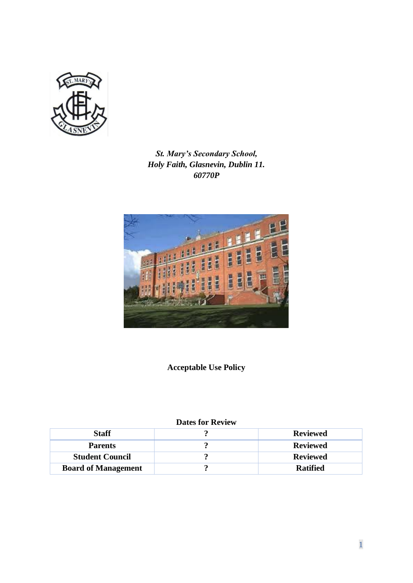

*St. Mary's Secondary School, Holy Faith, Glasnevin, Dublin 11. 60770P*



**Acceptable Use Policy**

# **Dates for Review**

| <b>Staff</b>               | <b>Reviewed</b> |
|----------------------------|-----------------|
| <b>Parents</b>             | <b>Reviewed</b> |
| <b>Student Council</b>     | <b>Reviewed</b> |
| <b>Board of Management</b> | <b>Ratified</b> |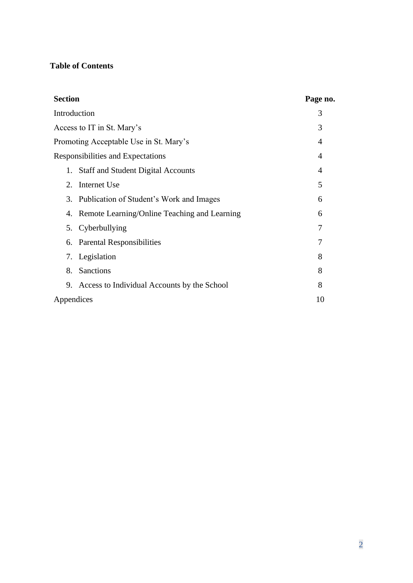# **Table of Contents**

| <b>Section</b>                                  | Page no. |
|-------------------------------------------------|----------|
| Introduction                                    | 3        |
| Access to IT in St. Mary's                      | 3        |
| Promoting Acceptable Use in St. Mary's          | 4        |
| Responsibilities and Expectations               | 4        |
| <b>Staff and Student Digital Accounts</b><br>1. | 4        |
| Internet Use<br>2.                              | 5        |
| 3. Publication of Student's Work and Images     | 6        |
| 4. Remote Learning/Online Teaching and Learning | 6        |
| 5. Cyberbullying                                | 7        |
| <b>Parental Responsibilities</b><br>6.          | 7        |
| 7. Legislation                                  | 8        |
| Sanctions<br>8.                                 | 8        |
| 9. Access to Individual Accounts by the School  | 8        |
| Appendices                                      | 10       |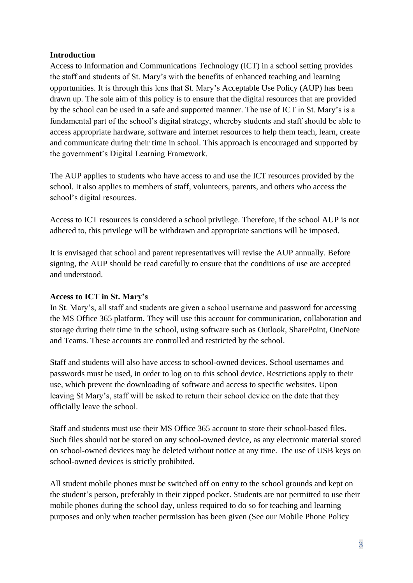### **Introduction**

Access to Information and Communications Technology (ICT) in a school setting provides the staff and students of St. Mary's with the benefits of enhanced teaching and learning opportunities. It is through this lens that St. Mary's Acceptable Use Policy (AUP) has been drawn up. The sole aim of this policy is to ensure that the digital resources that are provided by the school can be used in a safe and supported manner. The use of ICT in St. Mary's is a fundamental part of the school's digital strategy, whereby students and staff should be able to access appropriate hardware, software and internet resources to help them teach, learn, create and communicate during their time in school. This approach is encouraged and supported by the government's Digital Learning Framework.

The AUP applies to students who have access to and use the ICT resources provided by the school. It also applies to members of staff, volunteers, parents, and others who access the school's digital resources.

Access to ICT resources is considered a school privilege. Therefore, if the school AUP is not adhered to, this privilege will be withdrawn and appropriate sanctions will be imposed.

It is envisaged that school and parent representatives will revise the AUP annually. Before signing, the AUP should be read carefully to ensure that the conditions of use are accepted and understood.

#### **Access to ICT in St. Mary's**

In St. Mary's, all staff and students are given a school username and password for accessing the MS Office 365 platform. They will use this account for communication, collaboration and storage during their time in the school, using software such as Outlook, SharePoint, OneNote and Teams. These accounts are controlled and restricted by the school.

Staff and students will also have access to school-owned devices. School usernames and passwords must be used, in order to log on to this school device. Restrictions apply to their use, which prevent the downloading of software and access to specific websites. Upon leaving St Mary's, staff will be asked to return their school device on the date that they officially leave the school.

Staff and students must use their MS Office 365 account to store their school-based files. Such files should not be stored on any school-owned device, as any electronic material stored on school-owned devices may be deleted without notice at any time. The use of USB keys on school-owned devices is strictly prohibited.

All student mobile phones must be switched off on entry to the school grounds and kept on the student's person, preferably in their zipped pocket. Students are not permitted to use their mobile phones during the school day, unless required to do so for teaching and learning purposes and only when teacher permission has been given (See our Mobile Phone Policy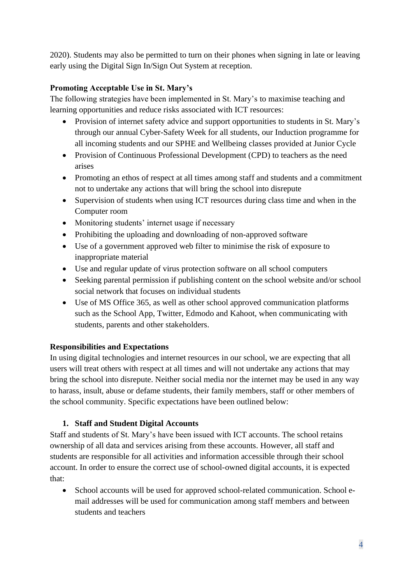2020). Students may also be permitted to turn on their phones when signing in late or leaving early using the Digital Sign In/Sign Out System at reception.

## **Promoting Acceptable Use in St. Mary's**

The following strategies have been implemented in St. Mary's to maximise teaching and learning opportunities and reduce risks associated with ICT resources:

- Provision of internet safety advice and support opportunities to students in St. Mary's through our annual Cyber-Safety Week for all students, our Induction programme for all incoming students and our SPHE and Wellbeing classes provided at Junior Cycle
- Provision of Continuous Professional Development (CPD) to teachers as the need arises
- Promoting an ethos of respect at all times among staff and students and a commitment not to undertake any actions that will bring the school into disrepute
- Supervision of students when using ICT resources during class time and when in the Computer room
- Monitoring students' internet usage if necessary
- Prohibiting the uploading and downloading of non-approved software
- Use of a government approved web filter to minimise the risk of exposure to inappropriate material
- Use and regular update of virus protection software on all school computers
- Seeking parental permission if publishing content on the school website and/or school social network that focuses on individual students
- Use of MS Office 365, as well as other school approved communication platforms such as the School App, Twitter, Edmodo and Kahoot, when communicating with students, parents and other stakeholders.

## **Responsibilities and Expectations**

In using digital technologies and internet resources in our school, we are expecting that all users will treat others with respect at all times and will not undertake any actions that may bring the school into disrepute. Neither social media nor the internet may be used in any way to harass, insult, abuse or defame students, their family members, staff or other members of the school community. Specific expectations have been outlined below:

## **1. Staff and Student Digital Accounts**

Staff and students of St. Mary's have been issued with ICT accounts. The school retains ownership of all data and services arising from these accounts. However, all staff and students are responsible for all activities and information accessible through their school account. In order to ensure the correct use of school-owned digital accounts, it is expected that:

• School accounts will be used for approved school-related communication. School email addresses will be used for communication among staff members and between students and teachers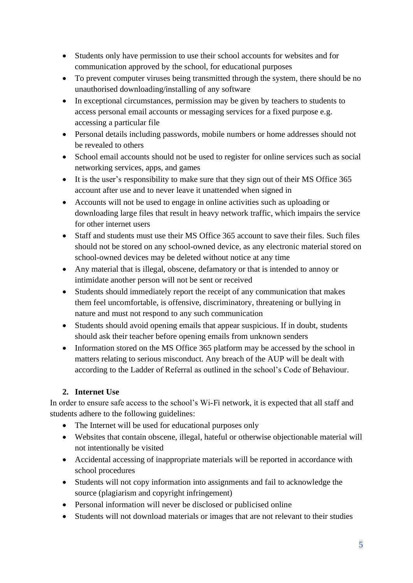- Students only have permission to use their school accounts for websites and for communication approved by the school, for educational purposes
- To prevent computer viruses being transmitted through the system, there should be no unauthorised downloading/installing of any software
- In exceptional circumstances, permission may be given by teachers to students to access personal email accounts or messaging services for a fixed purpose e.g. accessing a particular file
- Personal details including passwords, mobile numbers or home addresses should not be revealed to others
- School email accounts should not be used to register for online services such as social networking services, apps, and games
- It is the user's responsibility to make sure that they sign out of their MS Office 365 account after use and to never leave it unattended when signed in
- Accounts will not be used to engage in online activities such as uploading or downloading large files that result in heavy network traffic, which impairs the service for other internet users
- Staff and students must use their MS Office 365 account to save their files. Such files should not be stored on any school-owned device, as any electronic material stored on school-owned devices may be deleted without notice at any time
- Any material that is illegal, obscene, defamatory or that is intended to annoy or intimidate another person will not be sent or received
- Students should immediately report the receipt of any communication that makes them feel uncomfortable, is offensive, discriminatory, threatening or bullying in nature and must not respond to any such communication
- Students should avoid opening emails that appear suspicious. If in doubt, students should ask their teacher before opening emails from unknown senders
- Information stored on the MS Office 365 platform may be accessed by the school in matters relating to serious misconduct. Any breach of the AUP will be dealt with according to the Ladder of Referral as outlined in the school's Code of Behaviour.

# **2. Internet Use**

In order to ensure safe access to the school's Wi-Fi network, it is expected that all staff and students adhere to the following guidelines:

- The Internet will be used for educational purposes only
- Websites that contain obscene, illegal, hateful or otherwise objectionable material will not intentionally be visited
- Accidental accessing of inappropriate materials will be reported in accordance with school procedures
- Students will not copy information into assignments and fail to acknowledge the source (plagiarism and copyright infringement)
- Personal information will never be disclosed or publicised online
- Students will not download materials or images that are not relevant to their studies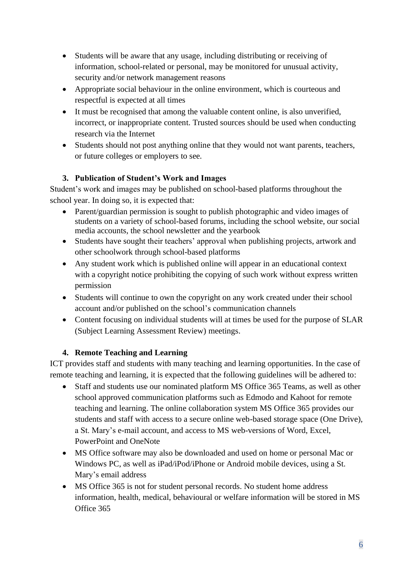- Students will be aware that any usage, including distributing or receiving of information, school-related or personal, may be monitored for unusual activity, security and/or network management reasons
- Appropriate social behaviour in the online environment, which is courteous and respectful is expected at all times
- It must be recognised that among the valuable content online, is also unverified, incorrect, or inappropriate content. Trusted sources should be used when conducting research via the Internet
- Students should not post anything online that they would not want parents, teachers, or future colleges or employers to see.

# **3. Publication of Student's Work and Images**

Student's work and images may be published on school-based platforms throughout the school year. In doing so, it is expected that:

- Parent/guardian permission is sought to publish photographic and video images of students on a variety of school-based forums, including the school website, our social media accounts, the school newsletter and the yearbook
- Students have sought their teachers' approval when publishing projects, artwork and other schoolwork through school-based platforms
- Any student work which is published online will appear in an educational context with a copyright notice prohibiting the copying of such work without express written permission
- Students will continue to own the copyright on any work created under their school account and/or published on the school's communication channels
- Content focusing on individual students will at times be used for the purpose of SLAR (Subject Learning Assessment Review) meetings.

## **4. Remote Teaching and Learning**

ICT provides staff and students with many teaching and learning opportunities. In the case of remote teaching and learning, it is expected that the following guidelines will be adhered to:

- Staff and students use our nominated platform MS Office 365 Teams, as well as other school approved communication platforms such as Edmodo and Kahoot for remote teaching and learning. The online collaboration system MS Office 365 provides our students and staff with access to a secure online web-based storage space (One Drive), a St. Mary's e-mail account, and access to MS web-versions of Word, Excel, PowerPoint and OneNote
- MS Office software may also be downloaded and used on home or personal Mac or Windows PC, as well as iPad/iPod/iPhone or Android mobile devices, using a St. Mary's email address
- MS Office 365 is not for student personal records. No student home address information, health, medical, behavioural or welfare information will be stored in MS Office 365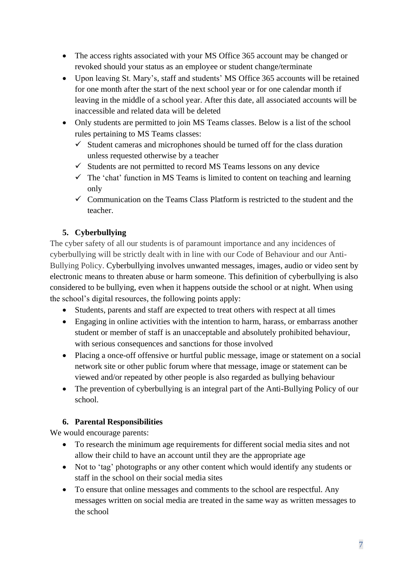- The access rights associated with your MS Office 365 account may be changed or revoked should your status as an employee or student change/terminate
- Upon leaving St. Mary's, staff and students' MS Office 365 accounts will be retained for one month after the start of the next school year or for one calendar month if leaving in the middle of a school year. After this date, all associated accounts will be inaccessible and related data will be deleted
- Only students are permitted to join MS Teams classes. Below is a list of the school rules pertaining to MS Teams classes:
	- $\checkmark$  Student cameras and microphones should be turned off for the class duration unless requested otherwise by a teacher
	- $\checkmark$  Students are not permitted to record MS Teams lessons on any device
	- $\checkmark$  The 'chat' function in MS Teams is limited to content on teaching and learning only
	- $\checkmark$  Communication on the Teams Class Platform is restricted to the student and the teacher.

# **5. Cyberbullying**

The cyber safety of all our students is of paramount importance and any incidences of cyberbullying will be strictly dealt with in line with our Code of Behaviour and our Anti-Bullying Policy. Cyberbullying involves unwanted messages, images, audio or video sent by electronic means to threaten abuse or harm someone. This definition of cyberbullying is also considered to be bullying, even when it happens outside the school or at night. When using the school's digital resources, the following points apply:

- Students, parents and staff are expected to treat others with respect at all times
- Engaging in online activities with the intention to harm, harass, or embarrass another student or member of staff is an unacceptable and absolutely prohibited behaviour, with serious consequences and sanctions for those involved
- Placing a once-off offensive or hurtful public message, image or statement on a social network site or other public forum where that message, image or statement can be viewed and/or repeated by other people is also regarded as bullying behaviour
- The prevention of cyberbullying is an integral part of the Anti-Bullying Policy of our school.

# **6. Parental Responsibilities**

We would encourage parents:

- To research the minimum age requirements for different social media sites and not allow their child to have an account until they are the appropriate age
- Not to 'tag' photographs or any other content which would identify any students or staff in the school on their social media sites
- To ensure that online messages and comments to the school are respectful. Any messages written on social media are treated in the same way as written messages to the school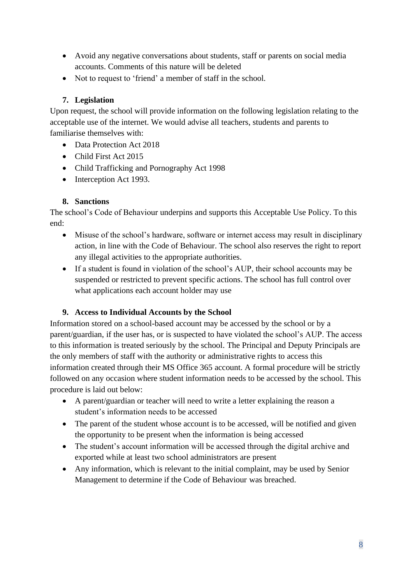- Avoid any negative conversations about students, staff or parents on social media accounts. Comments of this nature will be deleted
- Not to request to 'friend' a member of staff in the school.

# **7. Legislation**

Upon request, the school will provide information on the following legislation relating to the acceptable use of the internet. We would advise all teachers, students and parents to familiarise themselves with:

- Data Protection Act 2018
- Child First Act 2015
- Child Trafficking and Pornography Act 1998
- Interception Act 1993.

## **8. Sanctions**

The school's Code of Behaviour underpins and supports this Acceptable Use Policy. To this end:

- Misuse of the school's hardware, software or internet access may result in disciplinary action, in line with the Code of Behaviour. The school also reserves the right to report any illegal activities to the appropriate authorities.
- If a student is found in violation of the school's AUP, their school accounts may be suspended or restricted to prevent specific actions. The school has full control over what applications each account holder may use

## **9. Access to Individual Accounts by the School**

Information stored on a school-based account may be accessed by the school or by a parent/guardian, if the user has, or is suspected to have violated the school's AUP. The access to this information is treated seriously by the school. The Principal and Deputy Principals are the only members of staff with the authority or administrative rights to access this information created through their MS Office 365 account. A formal procedure will be strictly followed on any occasion where student information needs to be accessed by the school. This procedure is laid out below:

- A parent/guardian or teacher will need to write a letter explaining the reason a student's information needs to be accessed
- The parent of the student whose account is to be accessed, will be notified and given the opportunity to be present when the information is being accessed
- The student's account information will be accessed through the digital archive and exported while at least two school administrators are present
- Any information, which is relevant to the initial complaint, may be used by Senior Management to determine if the Code of Behaviour was breached.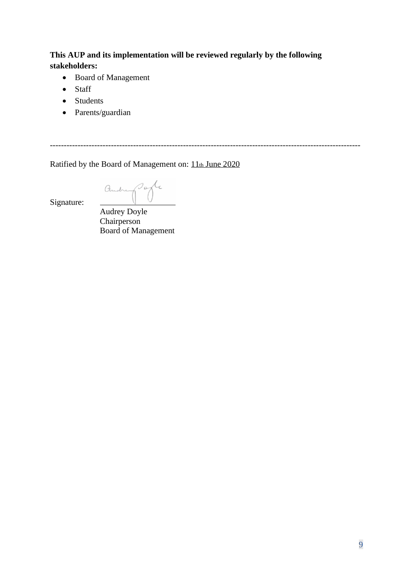# **This AUP and its implementation will be reviewed regularly by the following stakeholders:**

----------------------------------------------------------------------------------------------------------------

- Board of Management
- Staff
- Students
- Parents/guardian

Ratified by the Board of Management on: 11th June 2020

andre porte

Signature:

Audrey Doyle Chairperson Board of Management